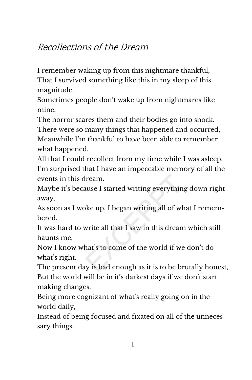## Recollections of the Dream

I remember waking up from this nightmare thankful, That I survived something like this in my sleep of this magnitude.

Sometimes people don't wake up from nightmares like mine,

The horror scares them and their bodies go into shock. There were so many things that happened and occurred, Meanwhile I'm thankful to have been able to remember what happened.

All that I could recollect from my time while I was asleep, I'm surprised that I have an impeccable memory of all the events in this dream.

Maybe it's because I started writing everything down right away,

As soon as I woke up, I began writing all of what I remem‐ bered.

It was hard to write all that I saw in this dream which still haunts me,

Now I know what's to come of the world if we don't do what's right.

The present day is bad enough as it is to be brutally honest, But the world will be in it's darkest days if we don't start making changes.

Being more cognizant of what's really going on in the world daily,

Instead of being focused and fixated on all of the unneces‐ sary things.